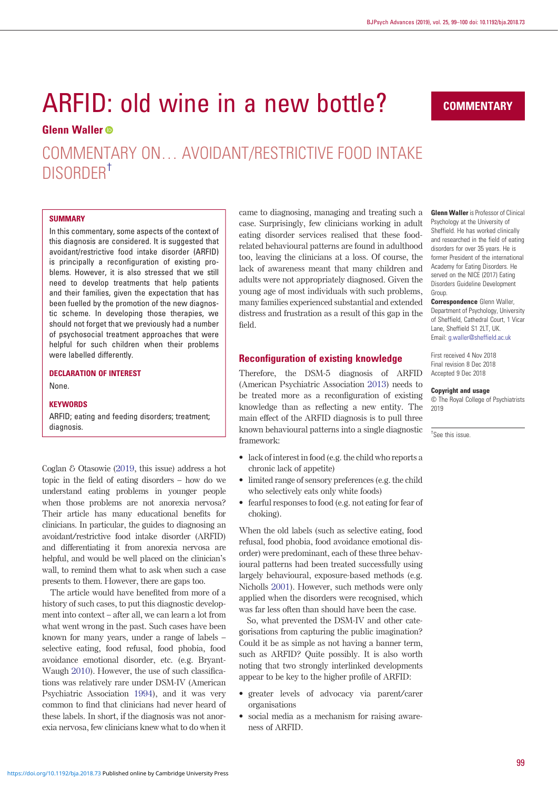# ARFID: old wine in a new bottle?

# Glenn Waller<sup>®</sup>

COMMENTARY ON… AVOIDANT/RESTRICTIVE FOOD INTAKE DISORDER†

## **SUMMARY**

In this commentary, some aspects of the context of this diagnosis are considered. It is suggested that avoidant/restrictive food intake disorder (ARFID) is principally a reconfiguration of existing problems. However, it is also stressed that we still need to develop treatments that help patients and their families, given the expectation that has been fuelled by the promotion of the new diagnostic scheme. In developing those therapies, we should not forget that we previously had a number of psychosocial treatment approaches that were helpful for such children when their problems were labelled differently.

DECLARATION OF INTEREST None.

#### **KEYWORDS**

ARFID; eating and feeding disorders; treatment; diagnosis.

Coglan & Otasowie ([2019](#page-1-0), this issue) address a hot topic in the field of eating disorders – how do we understand eating problems in younger people when those problems are not anorexia nervosa? Their article has many educational benefits for clinicians. In particular, the guides to diagnosing an avoidant/restrictive food intake disorder (ARFID) and differentiating it from anorexia nervosa are helpful, and would be well placed on the clinician's wall, to remind them what to ask when such a case presents to them. However, there are gaps too.

The article would have benefited from more of a history of such cases, to put this diagnostic development into context – after all, we can learn a lot from what went wrong in the past. Such cases have been known for many years, under a range of labels – selective eating, food refusal, food phobia, food avoidance emotional disorder, etc. (e.g. Bryant-Waugh [2010](#page-1-0)). However, the use of such classifications was relatively rare under DSM-IV (American Psychiatric Association [1994\)](#page-1-0), and it was very common to find that clinicians had never heard of these labels. In short, if the diagnosis was not anorexia nervosa, few clinicians knew what to do when it came to diagnosing, managing and treating such a case. Surprisingly, few clinicians working in adult eating disorder services realised that these foodrelated behavioural patterns are found in adulthood too, leaving the clinicians at a loss. Of course, the lack of awareness meant that many children and adults were not appropriately diagnosed. Given the young age of most individuals with such problems, many families experienced substantial and extended distress and frustration as a result of this gap in the field.

# Reconfiguration of existing knowledge

Therefore, the DSM-5 diagnosis of ARFID (American Psychiatric Association [2013](#page-1-0)) needs to be treated more as a reconfiguration of existing knowledge than as reflecting a new entity. The main effect of the ARFID diagnosis is to pull three known behavioural patterns into a single diagnostic framework:

- lack of interest in food (e.g. the child who reports a chronic lack of appetite)
- limited range of sensory preferences (e.g. the child who selectively eats only white foods)
- fearful responses to food (e.g. not eating for fear of choking).

When the old labels (such as selective eating, food refusal, food phobia, food avoidance emotional disorder) were predominant, each of these three behavioural patterns had been treated successfully using largely behavioural, exposure-based methods (e.g. Nicholls [2001](#page-1-0)). However, such methods were only applied when the disorders were recognised, which was far less often than should have been the case.

So, what prevented the DSM-IV and other categorisations from capturing the public imagination? Could it be as simple as not having a banner term, such as ARFID? Quite possibly. It is also worth noting that two strongly interlinked developments appear to be key to the higher profile of ARFID:

- greater levels of advocacy via parent/carer organisations
- social media as a mechanism for raising awareness of ARFID.

**COMMENTARY** 

Glenn Waller is Professor of Clinical Psychology at the University of Sheffield. He has worked clinically and researched in the field of eating disorders for over 35 years. He is former President of the international Academy for Eating Disorders. He served on the NICE (2017) Eating Disorders Guideline Development Group.

Correspondence Glenn Waller, Department of Psychology, University of Sheffield, Cathedral Court, 1 Vicar Lane, Sheffield S1 2LT, UK. Email: [g.waller@sheffield.ac.uk](mailto:g.waller@sheffield.ac.uk)

First received 4 Nov 2018 Final revision 8 Dec 2018 Accepted 9 Dec 2018

#### Copyright and usage

© The Royal College of Psychiatrists 2019

† See this issue.